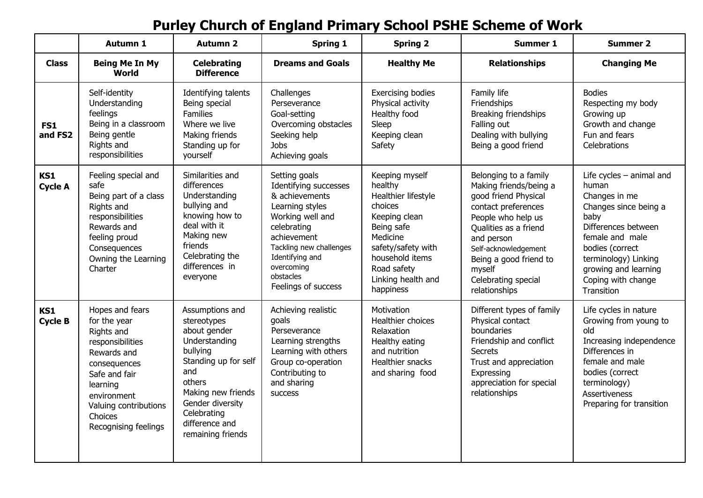## **Purley Church of England Primary School PSHE Scheme of Work**

|                       | Autumn 1                                                                                                                                                                                                 | <b>Autumn 2</b>                                                                                                                                                                                                      | <b>Spring 1</b>                                                                                                                                                                                                               | <b>Spring 2</b>                                                                                                                                                                                   | <b>Summer 1</b>                                                                                                                                                                                                                                                 | <b>Summer 2</b>                                                                                                                                                                                                                        |
|-----------------------|----------------------------------------------------------------------------------------------------------------------------------------------------------------------------------------------------------|----------------------------------------------------------------------------------------------------------------------------------------------------------------------------------------------------------------------|-------------------------------------------------------------------------------------------------------------------------------------------------------------------------------------------------------------------------------|---------------------------------------------------------------------------------------------------------------------------------------------------------------------------------------------------|-----------------------------------------------------------------------------------------------------------------------------------------------------------------------------------------------------------------------------------------------------------------|----------------------------------------------------------------------------------------------------------------------------------------------------------------------------------------------------------------------------------------|
| <b>Class</b>          | <b>Being Me In My</b><br><b>World</b>                                                                                                                                                                    | <b>Celebrating</b><br><b>Difference</b>                                                                                                                                                                              | <b>Dreams and Goals</b>                                                                                                                                                                                                       | <b>Healthy Me</b>                                                                                                                                                                                 | <b>Relationships</b>                                                                                                                                                                                                                                            | <b>Changing Me</b>                                                                                                                                                                                                                     |
| FS1<br>and FS2        | Self-identity<br>Understanding<br>feelings<br>Being in a classroom<br>Being gentle<br>Rights and<br>responsibilities                                                                                     | Identifying talents<br>Being special<br>Families<br>Where we live<br>Making friends<br>Standing up for<br>yourself                                                                                                   | Challenges<br>Perseverance<br>Goal-setting<br>Overcoming obstacles<br>Seeking help<br><b>Jobs</b><br>Achieving goals                                                                                                          | <b>Exercising bodies</b><br>Physical activity<br>Healthy food<br>Sleep<br>Keeping clean<br>Safety                                                                                                 | Family life<br>Friendships<br>Breaking friendships<br>Falling out<br>Dealing with bullying<br>Being a good friend                                                                                                                                               | <b>Bodies</b><br>Respecting my body<br>Growing up<br>Growth and change<br>Fun and fears<br>Celebrations                                                                                                                                |
| KS1<br><b>Cycle A</b> | Feeling special and<br>safe<br>Being part of a class<br>Rights and<br>responsibilities<br>Rewards and<br>feeling proud<br>Consequences<br>Owning the Learning<br>Charter                                 | Similarities and<br>differences<br>Understanding<br>bullying and<br>knowing how to<br>deal with it<br>Making new<br>friends<br>Celebrating the<br>differences in<br>everyone                                         | Setting goals<br>Identifying successes<br>& achievements<br>Learning styles<br>Working well and<br>celebrating<br>achievement<br>Tackling new challenges<br>Identifying and<br>overcoming<br>obstacles<br>Feelings of success | Keeping myself<br>healthy<br>Healthier lifestyle<br>choices<br>Keeping clean<br>Being safe<br>Medicine<br>safety/safety with<br>household items<br>Road safety<br>Linking health and<br>happiness | Belonging to a family<br>Making friends/being a<br>good friend Physical<br>contact preferences<br>People who help us<br>Qualities as a friend<br>and person<br>Self-acknowledgement<br>Being a good friend to<br>myself<br>Celebrating special<br>relationships | Life cycles $-$ animal and<br>human<br>Changes in me<br>Changes since being a<br>baby<br>Differences between<br>female and male<br>bodies (correct<br>terminology) Linking<br>growing and learning<br>Coping with change<br>Transition |
| KS1<br><b>Cycle B</b> | Hopes and fears<br>for the year<br>Rights and<br>responsibilities<br>Rewards and<br>consequences<br>Safe and fair<br>learning<br>environment<br>Valuing contributions<br>Choices<br>Recognising feelings | Assumptions and<br>stereotypes<br>about gender<br>Understanding<br>bullying<br>Standing up for self<br>and<br>others<br>Making new friends<br>Gender diversity<br>Celebrating<br>difference and<br>remaining friends | Achieving realistic<br>qoals<br>Perseverance<br>Learning strengths<br>Learning with others<br>Group co-operation<br>Contributing to<br>and sharing<br><b>SUCCESS</b>                                                          | Motivation<br>Healthier choices<br>Relaxation<br>Healthy eating<br>and nutrition<br>Healthier snacks<br>and sharing food                                                                          | Different types of family<br>Physical contact<br>boundaries<br>Friendship and conflict<br><b>Secrets</b><br>Trust and appreciation<br>Expressing<br>appreciation for special<br>relationships                                                                   | Life cycles in nature<br>Growing from young to<br>old<br>Increasing independence<br>Differences in<br>female and male<br>bodies (correct<br>terminology)<br>Assertiveness<br>Preparing for transition                                  |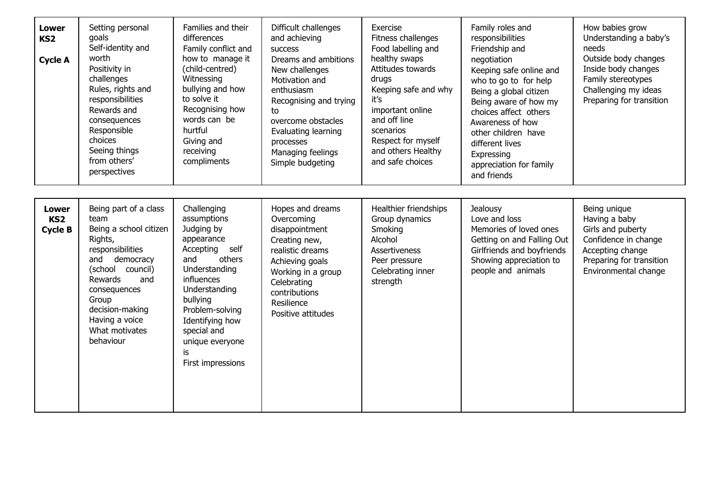| <b>Lower</b><br>KS <sub>2</sub><br><b>Cycle A</b> | Setting personal<br>goals<br>Self-identity and<br>worth<br>Positivity in<br>challenges<br>Rules, rights and<br>responsibilities<br>Rewards and<br>consequences<br>Responsible<br>choices<br>Seeing things<br>from others'<br>perspectives        | Families and their<br>differences<br>Family conflict and<br>how to manage it<br>(child-centred)<br>Witnessing<br>bullying and how<br>to solve it<br>Recognising how<br>words can be<br>hurtful<br>Giving and<br>receiving<br>compliments                    | Difficult challenges<br>and achieving<br>success<br>Dreams and ambitions<br>New challenges<br>Motivation and<br>enthusiasm<br>Recognising and trying<br>to<br>overcome obstacles<br>Evaluating learning<br>processes<br>Managing feelings<br>Simple budgeting | Exercise<br>Fitness challenges<br>Food labelling and<br>healthy swaps<br>Attitudes towards<br>drugs<br>Keeping safe and why<br>it's<br>important online<br>and off line<br>scenarios<br>Respect for myself<br>and others Healthy<br>and safe choices | Family roles and<br>responsibilities<br>Friendship and<br>negotiation<br>Keeping safe online and<br>who to go to for help<br>Being a global citizen<br>Being aware of how my<br>choices affect others<br>Awareness of how<br>other children have<br>different lives<br>Expressing<br>appreciation for family<br>and friends | How babies grow<br>Understanding a baby's<br>needs<br>Outside body changes<br>Inside body changes<br>Family stereotypes<br>Challenging my ideas<br>Preparing for transition |
|---------------------------------------------------|--------------------------------------------------------------------------------------------------------------------------------------------------------------------------------------------------------------------------------------------------|-------------------------------------------------------------------------------------------------------------------------------------------------------------------------------------------------------------------------------------------------------------|---------------------------------------------------------------------------------------------------------------------------------------------------------------------------------------------------------------------------------------------------------------|------------------------------------------------------------------------------------------------------------------------------------------------------------------------------------------------------------------------------------------------------|-----------------------------------------------------------------------------------------------------------------------------------------------------------------------------------------------------------------------------------------------------------------------------------------------------------------------------|-----------------------------------------------------------------------------------------------------------------------------------------------------------------------------|
| <b>Lower</b><br>KS <sub>2</sub><br><b>Cycle B</b> | Being part of a class<br>team<br>Being a school citizen<br>Rights,<br>responsibilities<br>and<br>democracy<br>(school<br>council)<br>Rewards<br>and<br>consequences<br>Group<br>decision-making<br>Having a voice<br>What motivates<br>behaviour | Challenging<br>assumptions<br>Judging by<br>appearance<br>Accepting<br>self<br>and<br>others<br>Understanding<br>influences<br>Understanding<br>bullying<br>Problem-solving<br>Identifying how<br>special and<br>unique everyone<br>is<br>First impressions | Hopes and dreams<br>Overcoming<br>disappointment<br>Creating new,<br>realistic dreams<br>Achieving goals<br>Working in a group<br>Celebrating<br>contributions<br>Resilience<br>Positive attitudes                                                            | Healthier friendships<br>Group dynamics<br>Smoking<br>Alcohol<br><b>Assertiveness</b><br>Peer pressure<br>Celebrating inner<br>strength                                                                                                              | Jealousy<br>Love and loss<br>Memories of loved ones<br>Getting on and Falling Out<br>Girlfriends and boyfriends<br>Showing appreciation to<br>people and animals                                                                                                                                                            | Being unique<br>Having a baby<br>Girls and puberty<br>Confidence in change<br>Accepting change<br>Preparing for transition<br>Environmental change                          |